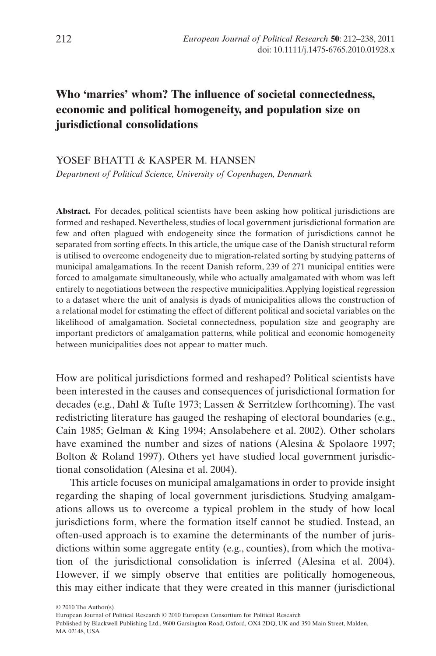# **Who 'marries' whom? The influence of societal connectedness, economic and political homogeneity, and population size on jurisdictional consolidations**

## YOSEF BHATTI & KASPER M. HANSEN

*Department of Political Science, University of Copenhagen, Denmark*

Abstract. For decades, political scientists have been asking how political jurisdictions are formed and reshaped. Nevertheless, studies of local government jurisdictional formation are few and often plagued with endogeneity since the formation of jurisdictions cannot be separated from sorting effects. In this article, the unique case of the Danish structural reform is utilised to overcome endogeneity due to migration-related sorting by studying patterns of municipal amalgamations. In the recent Danish reform, 239 of 271 municipal entities were forced to amalgamate simultaneously, while who actually amalgamated with whom was left entirely to negotiations between the respective municipalities.Applying logistical regression to a dataset where the unit of analysis is dyads of municipalities allows the construction of a relational model for estimating the effect of different political and societal variables on the likelihood of amalgamation. Societal connectedness, population size and geography are important predictors of amalgamation patterns, while political and economic homogeneity between municipalities does not appear to matter much.

How are political jurisdictions formed and reshaped? Political scientists have been interested in the causes and consequences of jurisdictional formation for decades (e.g., Dahl & Tufte 1973; Lassen & Serritzlew forthcoming). The vast redistricting literature has gauged the reshaping of electoral boundaries (e.g., Cain 1985; Gelman & King 1994; Ansolabehere et al. 2002). Other scholars have examined the number and sizes of nations (Alesina & Spolaore 1997; Bolton & Roland 1997). Others yet have studied local government jurisdictional consolidation (Alesina et al. 2004).

This article focuses on municipal amalgamations in order to provide insight regarding the shaping of local government jurisdictions. Studying amalgamations allows us to overcome a typical problem in the study of how local jurisdictions form, where the formation itself cannot be studied. Instead, an often-used approach is to examine the determinants of the number of jurisdictions within some aggregate entity (e.g., counties), from which the motivation of the jurisdictional consolidation is inferred (Alesina et al. 2004). However, if we simply observe that entities are politically homogeneous, this may either indicate that they were created in this manner (jurisdictional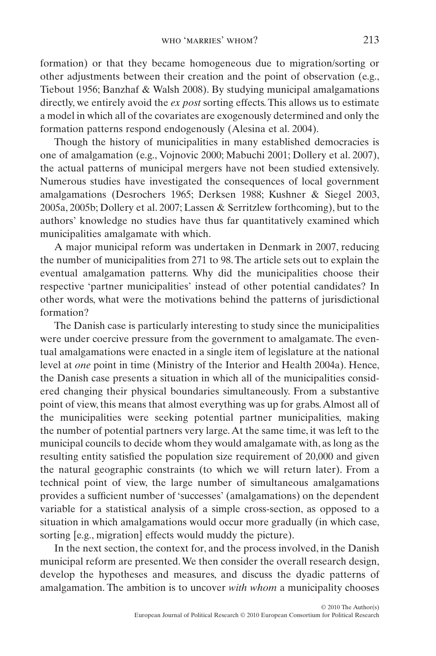formation) or that they became homogeneous due to migration/sorting or other adjustments between their creation and the point of observation (e.g., Tiebout 1956; Banzhaf & Walsh 2008). By studying municipal amalgamations directly, we entirely avoid the *ex post* sorting effects. This allows us to estimate a model in which all of the covariates are exogenously determined and only the formation patterns respond endogenously (Alesina et al. 2004).

Though the history of municipalities in many established democracies is one of amalgamation (e.g., Vojnovic 2000; Mabuchi 2001; Dollery et al. 2007), the actual patterns of municipal mergers have not been studied extensively. Numerous studies have investigated the consequences of local government amalgamations (Desrochers 1965; Derksen 1988; Kushner & Siegel 2003, 2005a, 2005b; Dollery et al. 2007; Lassen & Serritzlew forthcoming), but to the authors' knowledge no studies have thus far quantitatively examined which municipalities amalgamate with which.

A major municipal reform was undertaken in Denmark in 2007, reducing the number of municipalities from 271 to 98. The article sets out to explain the eventual amalgamation patterns. Why did the municipalities choose their respective 'partner municipalities' instead of other potential candidates? In other words, what were the motivations behind the patterns of jurisdictional formation?

The Danish case is particularly interesting to study since the municipalities were under coercive pressure from the government to amalgamate. The eventual amalgamations were enacted in a single item of legislature at the national level at *one* point in time (Ministry of the Interior and Health 2004a). Hence, the Danish case presents a situation in which all of the municipalities considered changing their physical boundaries simultaneously. From a substantive point of view, this means that almost everything was up for grabs.Almost all of the municipalities were seeking potential partner municipalities, making the number of potential partners very large.At the same time, it was left to the municipal councils to decide whom they would amalgamate with, as long as the resulting entity satisfied the population size requirement of 20,000 and given the natural geographic constraints (to which we will return later). From a technical point of view, the large number of simultaneous amalgamations provides a sufficient number of 'successes' (amalgamations) on the dependent variable for a statistical analysis of a simple cross-section, as opposed to a situation in which amalgamations would occur more gradually (in which case, sorting [e.g., migration] effects would muddy the picture).

In the next section, the context for, and the process involved, in the Danish municipal reform are presented. We then consider the overall research design, develop the hypotheses and measures, and discuss the dyadic patterns of amalgamation. The ambition is to uncover *with whom* a municipality chooses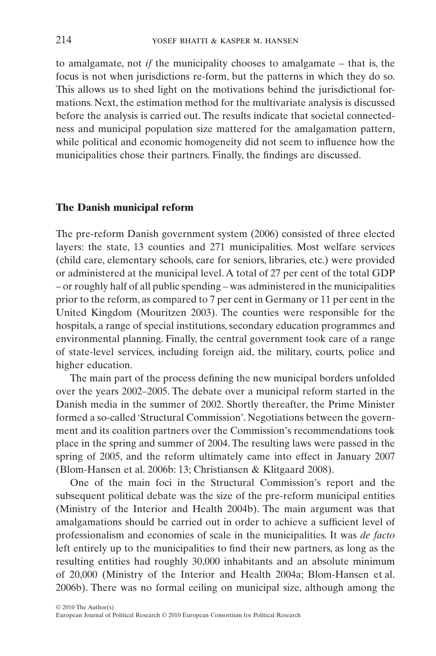to amalgamate, not *if* the municipality chooses to amalgamate – that is, the focus is not when jurisdictions re-form, but the patterns in which they do so. This allows us to shed light on the motivations behind the jurisdictional formations. Next, the estimation method for the multivariate analysis is discussed before the analysis is carried out. The results indicate that societal connectedness and municipal population size mattered for the amalgamation pattern, while political and economic homogeneity did not seem to influence how the municipalities chose their partners. Finally, the findings are discussed.

### **The Danish municipal reform**

The pre-reform Danish government system (2006) consisted of three elected layers: the state, 13 counties and 271 municipalities. Most welfare services (child care, elementary schools, care for seniors, libraries, etc.) were provided or administered at the municipal level. A total of 27 per cent of the total GDP – or roughly half of all public spending – was administered in the municipalities prior to the reform, as compared to 7 per cent in Germany or 11 per cent in the United Kingdom (Mouritzen 2003). The counties were responsible for the hospitals, a range of special institutions, secondary education programmes and environmental planning. Finally, the central government took care of a range of state-level services, including foreign aid, the military, courts, police and higher education.

The main part of the process defining the new municipal borders unfolded over the years 2002–2005. The debate over a municipal reform started in the Danish media in the summer of 2002. Shortly thereafter, the Prime Minister formed a so-called 'Structural Commission'. Negotiations between the government and its coalition partners over the Commission's recommendations took place in the spring and summer of 2004. The resulting laws were passed in the spring of 2005, and the reform ultimately came into effect in January 2007 (Blom-Hansen et al. 2006b: 13; Christiansen & Klitgaard 2008).

One of the main foci in the Structural Commission's report and the subsequent political debate was the size of the pre-reform municipal entities (Ministry of the Interior and Health 2004b). The main argument was that amalgamations should be carried out in order to achieve a sufficient level of professionalism and economies of scale in the municipalities. It was *de facto* left entirely up to the municipalities to find their new partners, as long as the resulting entities had roughly 30,000 inhabitants and an absolute minimum of 20,000 (Ministry of the Interior and Health 2004a; Blom-Hansen et al. 2006b). There was no formal ceiling on municipal size, although among the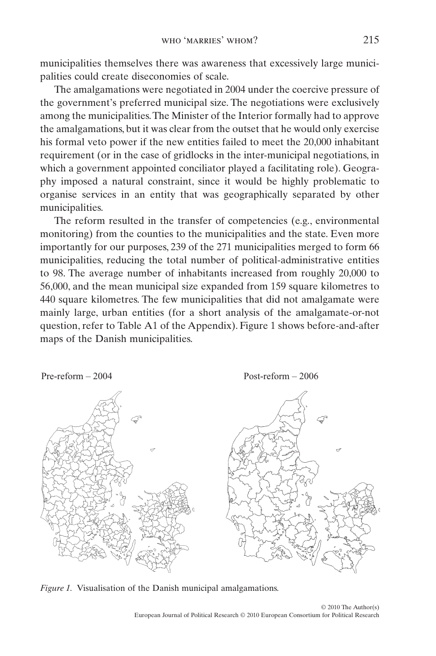municipalities themselves there was awareness that excessively large municipalities could create diseconomies of scale.

The amalgamations were negotiated in 2004 under the coercive pressure of the government's preferred municipal size. The negotiations were exclusively among the municipalities.The Minister of the Interior formally had to approve the amalgamations, but it was clear from the outset that he would only exercise his formal veto power if the new entities failed to meet the 20,000 inhabitant requirement (or in the case of gridlocks in the inter-municipal negotiations, in which a government appointed conciliator played a facilitating role). Geography imposed a natural constraint, since it would be highly problematic to organise services in an entity that was geographically separated by other municipalities.

The reform resulted in the transfer of competencies (e.g., environmental monitoring) from the counties to the municipalities and the state. Even more importantly for our purposes, 239 of the 271 municipalities merged to form 66 municipalities, reducing the total number of political-administrative entities to 98. The average number of inhabitants increased from roughly 20,000 to 56,000, and the mean municipal size expanded from 159 square kilometres to 440 square kilometres. The few municipalities that did not amalgamate were mainly large, urban entities (for a short analysis of the amalgamate-or-not question, refer to Table A1 of the Appendix). Figure 1 shows before-and-after maps of the Danish municipalities.



*Figure 1.* Visualisation of the Danish municipal amalgamations.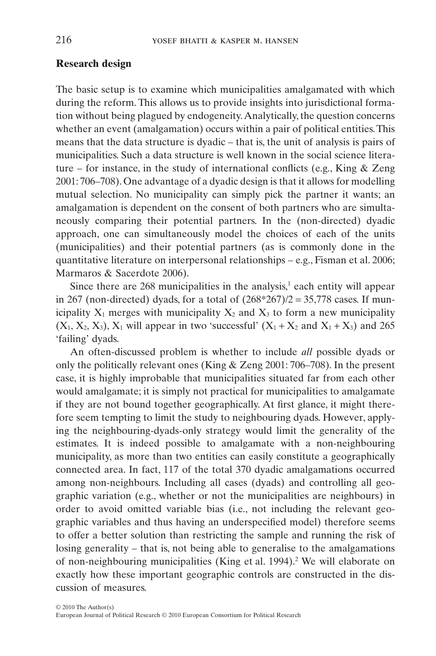### **Research design**

The basic setup is to examine which municipalities amalgamated with which during the reform. This allows us to provide insights into jurisdictional formation without being plagued by endogeneity.Analytically, the question concerns whether an event (amalgamation) occurs within a pair of political entities. This means that the data structure is dyadic – that is, the unit of analysis is pairs of municipalities. Such a data structure is well known in the social science literature – for instance, in the study of international conflicts (e.g., King & Zeng 2001: 706–708). One advantage of a dyadic design is that it allows for modelling mutual selection. No municipality can simply pick the partner it wants; an amalgamation is dependent on the consent of both partners who are simultaneously comparing their potential partners. In the (non-directed) dyadic approach, one can simultaneously model the choices of each of the units (municipalities) and their potential partners (as is commonly done in the quantitative literature on interpersonal relationships – e.g., Fisman et al. 2006; Marmaros & Sacerdote 2006).

Since there are  $268$  municipalities in the analysis,<sup>1</sup> each entity will appear in 267 (non-directed) dyads, for a total of  $(268*267)/2 = 35,778$  cases. If municipality  $X_1$  merges with municipality  $X_2$  and  $X_3$  to form a new municipality  $(X_1, X_2, X_3)$ ,  $X_1$  will appear in two 'successful'  $(X_1 + X_2 \text{ and } X_1 + X_3)$  and 265 'failing' dyads.

An often-discussed problem is whether to include *all* possible dyads or only the politically relevant ones (King & Zeng 2001: 706–708). In the present case, it is highly improbable that municipalities situated far from each other would amalgamate; it is simply not practical for municipalities to amalgamate if they are not bound together geographically. At first glance, it might therefore seem tempting to limit the study to neighbouring dyads. However, applying the neighbouring-dyads-only strategy would limit the generality of the estimates. It is indeed possible to amalgamate with a non-neighbouring municipality, as more than two entities can easily constitute a geographically connected area. In fact, 117 of the total 370 dyadic amalgamations occurred among non-neighbours. Including all cases (dyads) and controlling all geographic variation (e.g., whether or not the municipalities are neighbours) in order to avoid omitted variable bias (i.e., not including the relevant geographic variables and thus having an underspecified model) therefore seems to offer a better solution than restricting the sample and running the risk of losing generality – that is, not being able to generalise to the amalgamations of non-neighbouring municipalities (King et al. 1994).<sup>2</sup> We will elaborate on exactly how these important geographic controls are constructed in the discussion of measures.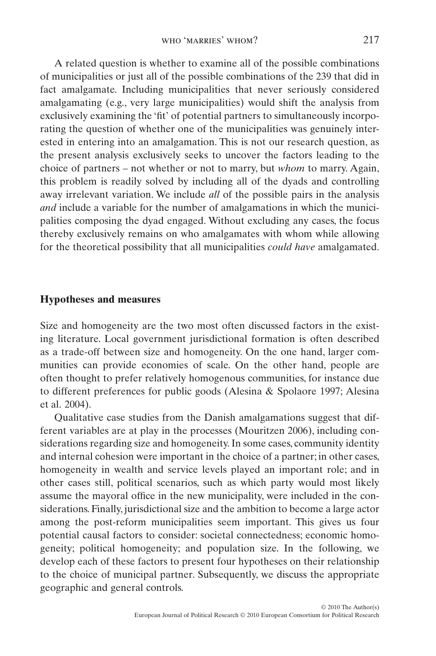A related question is whether to examine all of the possible combinations of municipalities or just all of the possible combinations of the 239 that did in fact amalgamate. Including municipalities that never seriously considered amalgamating (e.g., very large municipalities) would shift the analysis from exclusively examining the 'fit' of potential partners to simultaneously incorporating the question of whether one of the municipalities was genuinely interested in entering into an amalgamation. This is not our research question, as the present analysis exclusively seeks to uncover the factors leading to the choice of partners – not whether or not to marry, but *whom* to marry. Again, this problem is readily solved by including all of the dyads and controlling away irrelevant variation. We include *all* of the possible pairs in the analysis *and* include a variable for the number of amalgamations in which the municipalities composing the dyad engaged. Without excluding any cases, the focus thereby exclusively remains on who amalgamates with whom while allowing for the theoretical possibility that all municipalities *could have* amalgamated.

### **Hypotheses and measures**

Size and homogeneity are the two most often discussed factors in the existing literature. Local government jurisdictional formation is often described as a trade-off between size and homogeneity. On the one hand, larger communities can provide economies of scale. On the other hand, people are often thought to prefer relatively homogenous communities, for instance due to different preferences for public goods (Alesina & Spolaore 1997; Alesina et al. 2004).

Qualitative case studies from the Danish amalgamations suggest that different variables are at play in the processes (Mouritzen 2006), including considerations regarding size and homogeneity. In some cases, community identity and internal cohesion were important in the choice of a partner; in other cases, homogeneity in wealth and service levels played an important role; and in other cases still, political scenarios, such as which party would most likely assume the mayoral office in the new municipality, were included in the considerations. Finally, jurisdictional size and the ambition to become a large actor among the post-reform municipalities seem important. This gives us four potential causal factors to consider: societal connectedness; economic homogeneity; political homogeneity; and population size. In the following, we develop each of these factors to present four hypotheses on their relationship to the choice of municipal partner. Subsequently, we discuss the appropriate geographic and general controls.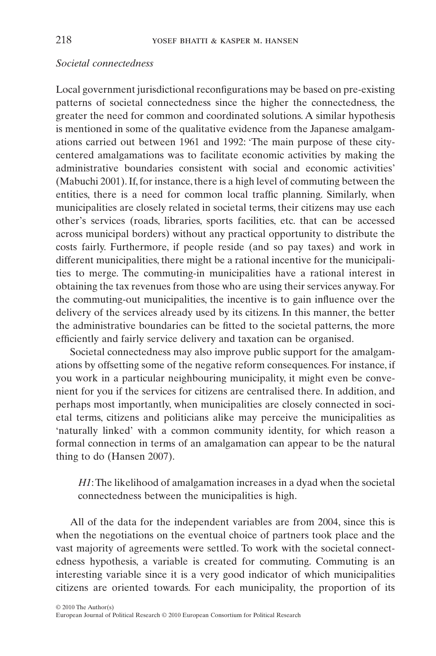# *Societal connectedness*

Local government jurisdictional reconfigurations may be based on pre-existing patterns of societal connectedness since the higher the connectedness, the greater the need for common and coordinated solutions. A similar hypothesis is mentioned in some of the qualitative evidence from the Japanese amalgamations carried out between 1961 and 1992: 'The main purpose of these citycentered amalgamations was to facilitate economic activities by making the administrative boundaries consistent with social and economic activities' (Mabuchi 2001). If, for instance, there is a high level of commuting between the entities, there is a need for common local traffic planning. Similarly, when municipalities are closely related in societal terms, their citizens may use each other's services (roads, libraries, sports facilities, etc. that can be accessed across municipal borders) without any practical opportunity to distribute the costs fairly. Furthermore, if people reside (and so pay taxes) and work in different municipalities, there might be a rational incentive for the municipalities to merge. The commuting-in municipalities have a rational interest in obtaining the tax revenues from those who are using their services anyway. For the commuting-out municipalities, the incentive is to gain influence over the delivery of the services already used by its citizens. In this manner, the better the administrative boundaries can be fitted to the societal patterns, the more efficiently and fairly service delivery and taxation can be organised.

Societal connectedness may also improve public support for the amalgamations by offsetting some of the negative reform consequences. For instance, if you work in a particular neighbouring municipality, it might even be convenient for you if the services for citizens are centralised there. In addition, and perhaps most importantly, when municipalities are closely connected in societal terms, citizens and politicians alike may perceive the municipalities as 'naturally linked' with a common community identity, for which reason a formal connection in terms of an amalgamation can appear to be the natural thing to do (Hansen 2007).

*H1*:The likelihood of amalgamation increases in a dyad when the societal connectedness between the municipalities is high.

All of the data for the independent variables are from 2004, since this is when the negotiations on the eventual choice of partners took place and the vast majority of agreements were settled. To work with the societal connectedness hypothesis, a variable is created for commuting. Commuting is an interesting variable since it is a very good indicator of which municipalities citizens are oriented towards. For each municipality, the proportion of its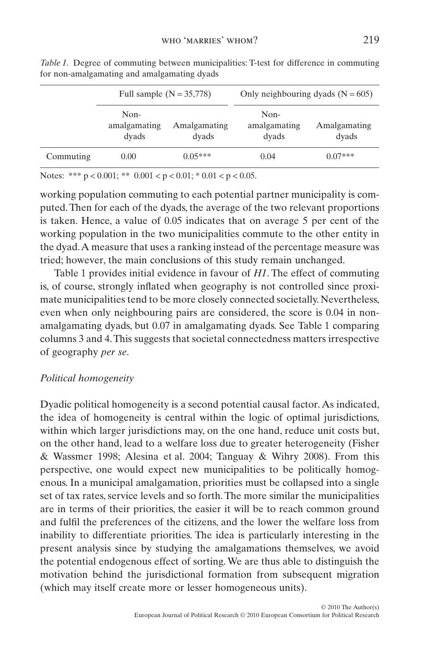|           | Full sample $(N = 35,778)$    |                       | Only neighbouring dyads $(N = 605)$ |                       |
|-----------|-------------------------------|-----------------------|-------------------------------------|-----------------------|
|           | Non-<br>amalgamating<br>dyads | Amalgamating<br>dyads | Non-<br>amalgamating<br>dyads       | Amalgamating<br>dyads |
| Commuting | 0.00                          | $0.05***$             | 0.04                                | $0.07***$             |

*Table 1.* Degree of commuting between municipalities: T-test for difference in commuting for non-amalgamating and amalgamating dyads

Notes: \*\*\*  $p < 0.001$ ; \*\*  $0.001 < p < 0.01$ ; \*  $0.01 < p < 0.05$ .

working population commuting to each potential partner municipality is computed. Then for each of the dyads, the average of the two relevant proportions is taken. Hence, a value of 0.05 indicates that on average 5 per cent of the working population in the two municipalities commute to the other entity in the dyad.A measure that uses a ranking instead of the percentage measure was tried; however, the main conclusions of this study remain unchanged.

Table 1 provides initial evidence in favour of *H1*. The effect of commuting is, of course, strongly inflated when geography is not controlled since proximate municipalities tend to be more closely connected societally. Nevertheless, even when only neighbouring pairs are considered, the score is 0.04 in nonamalgamating dyads, but 0.07 in amalgamating dyads. See Table 1 comparing columns 3 and 4.This suggests that societal connectedness matters irrespective of geography *per se*.

### *Political homogeneity*

Dyadic political homogeneity is a second potential causal factor. As indicated, the idea of homogeneity is central within the logic of optimal jurisdictions, within which larger jurisdictions may, on the one hand, reduce unit costs but, on the other hand, lead to a welfare loss due to greater heterogeneity (Fisher & Wassmer 1998; Alesina et al. 2004; Tanguay & Wihry 2008). From this perspective, one would expect new municipalities to be politically homogenous. In a municipal amalgamation, priorities must be collapsed into a single set of tax rates, service levels and so forth. The more similar the municipalities are in terms of their priorities, the easier it will be to reach common ground and fulfil the preferences of the citizens, and the lower the welfare loss from inability to differentiate priorities. The idea is particularly interesting in the present analysis since by studying the amalgamations themselves, we avoid the potential endogenous effect of sorting. We are thus able to distinguish the motivation behind the jurisdictional formation from subsequent migration (which may itself create more or lesser homogeneous units).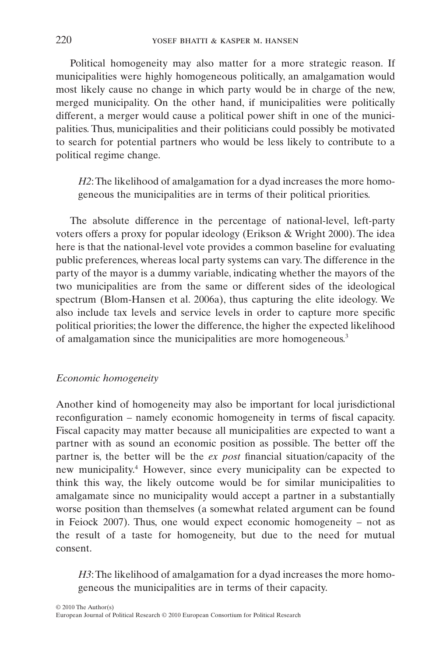Political homogeneity may also matter for a more strategic reason. If municipalities were highly homogeneous politically, an amalgamation would most likely cause no change in which party would be in charge of the new, merged municipality. On the other hand, if municipalities were politically different, a merger would cause a political power shift in one of the municipalities. Thus, municipalities and their politicians could possibly be motivated to search for potential partners who would be less likely to contribute to a political regime change.

*H2*:The likelihood of amalgamation for a dyad increases the more homogeneous the municipalities are in terms of their political priorities.

The absolute difference in the percentage of national-level, left-party voters offers a proxy for popular ideology (Erikson & Wright 2000). The idea here is that the national-level vote provides a common baseline for evaluating public preferences, whereas local party systems can vary. The difference in the party of the mayor is a dummy variable, indicating whether the mayors of the two municipalities are from the same or different sides of the ideological spectrum (Blom-Hansen et al. 2006a), thus capturing the elite ideology. We also include tax levels and service levels in order to capture more specific political priorities; the lower the difference, the higher the expected likelihood of amalgamation since the municipalities are more homogeneous.3

### *Economic homogeneity*

Another kind of homogeneity may also be important for local jurisdictional reconfiguration – namely economic homogeneity in terms of fiscal capacity. Fiscal capacity may matter because all municipalities are expected to want a partner with as sound an economic position as possible. The better off the partner is, the better will be the *ex post* financial situation/capacity of the new municipality.4 However, since every municipality can be expected to think this way, the likely outcome would be for similar municipalities to amalgamate since no municipality would accept a partner in a substantially worse position than themselves (a somewhat related argument can be found in Feiock 2007). Thus, one would expect economic homogeneity – not as the result of a taste for homogeneity, but due to the need for mutual consent.

*H3*:The likelihood of amalgamation for a dyad increases the more homogeneous the municipalities are in terms of their capacity.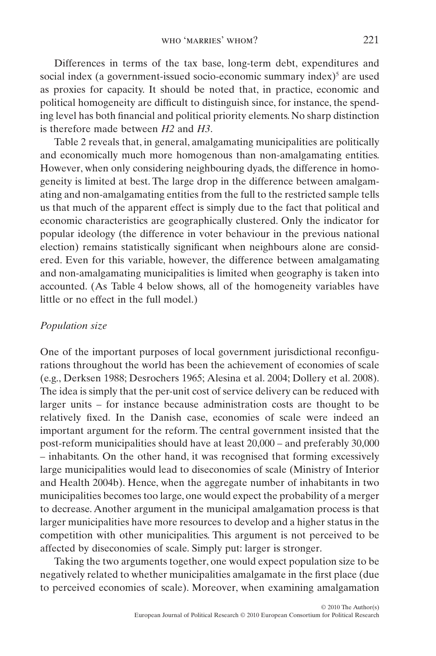Differences in terms of the tax base, long-term debt, expenditures and social index (a government-issued socio-economic summary index)<sup>5</sup> are used as proxies for capacity. It should be noted that, in practice, economic and political homogeneity are difficult to distinguish since, for instance, the spending level has both financial and political priority elements. No sharp distinction is therefore made between *H2* and *H3*.

Table 2 reveals that, in general, amalgamating municipalities are politically and economically much more homogenous than non-amalgamating entities. However, when only considering neighbouring dyads, the difference in homogeneity is limited at best. The large drop in the difference between amalgamating and non-amalgamating entities from the full to the restricted sample tells us that much of the apparent effect is simply due to the fact that political and economic characteristics are geographically clustered. Only the indicator for popular ideology (the difference in voter behaviour in the previous national election) remains statistically significant when neighbours alone are considered. Even for this variable, however, the difference between amalgamating and non-amalgamating municipalities is limited when geography is taken into accounted. (As Table 4 below shows, all of the homogeneity variables have little or no effect in the full model.)

### *Population size*

One of the important purposes of local government jurisdictional reconfigurations throughout the world has been the achievement of economies of scale (e.g., Derksen 1988; Desrochers 1965; Alesina et al. 2004; Dollery et al. 2008). The idea is simply that the per-unit cost of service delivery can be reduced with larger units – for instance because administration costs are thought to be relatively fixed. In the Danish case, economies of scale were indeed an important argument for the reform. The central government insisted that the post-reform municipalities should have at least 20,000 – and preferably 30,000 – inhabitants. On the other hand, it was recognised that forming excessively large municipalities would lead to diseconomies of scale (Ministry of Interior and Health 2004b). Hence, when the aggregate number of inhabitants in two municipalities becomes too large, one would expect the probability of a merger to decrease. Another argument in the municipal amalgamation process is that larger municipalities have more resources to develop and a higher status in the competition with other municipalities. This argument is not perceived to be affected by diseconomies of scale. Simply put: larger is stronger.

Taking the two arguments together, one would expect population size to be negatively related to whether municipalities amalgamate in the first place (due to perceived economies of scale). Moreover, when examining amalgamation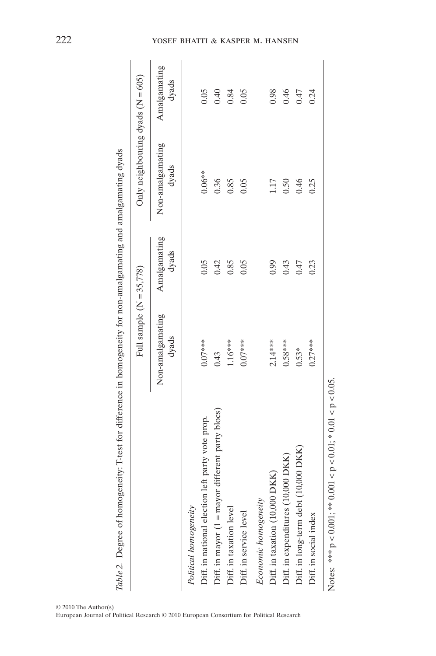|    | j                                                                                                                     |
|----|-----------------------------------------------------------------------------------------------------------------------|
|    | $\overline{a}$<br>ï<br>l<br>י<br>١<br>l<br>1<br>ļ<br>¢                                                                |
|    | $\overline{\phantom{a}}$<br>ť<br>i<br>i<br>d<br>֦֧֦֧֦֧֦֧֦֧֦֧֦֧֦֧֦֧֦֧֦֪֪֦֚֚֚֬֕֓֕֬֝֬֬֬<br>Ì<br>$-1$<br>ï<br>i<br>١<br>i |
|    | i<br>1<br>$\overline{\phantom{a}}$<br>j<br>j<br>ţ<br>Ş<br>l<br>ś                                                      |
| î  | ł<br>1<br>ï                                                                                                           |
| I  | i                                                                                                                     |
| I  | l<br>l<br>l<br>ł<br>١<br>į<br>j<br>j<br>١                                                                             |
| j. | j<br>l<br>5<br>J<br>Ξ                                                                                                 |

|                                                  | Full sample $(N = 35,778)$ |                       | Only neighbouring dyads $(N = 605)$ |                       |
|--------------------------------------------------|----------------------------|-----------------------|-------------------------------------|-----------------------|
|                                                  | Non-amalgamating<br>dyads  | Amalgamating<br>dyads | Non-amalgamating<br>dyads           | Amalgamating<br>dyads |
| Political homogeneity                            |                            |                       |                                     |                       |
| Diff. in national election left party vote prop. | $0.07***$                  | 0.05                  | $0.06**$                            | 0.05                  |
| Diff. in mayor (1 = mayor different party blocs) | 0.43                       | 0.42                  | 0.36                                | 0.40                  |
| Diff. in taxation level                          | 1.16***                    | 0.85                  | 0.85                                | 0.84                  |
| Diff. in service level                           | $0.07***$                  | 0.05                  | 0.05                                | 0.05                  |
| Economic homogeneity                             |                            |                       |                                     |                       |
| Diff. in taxation (10,000 DKK)                   | $2.14***$                  | 0.99                  | 1.17                                | 0.98                  |
| Diff. in expenditures (10,000 DKK)               | $0.58***$                  | 0.43                  | 0.50                                | 0.46                  |
| Diff. in long-term debt (10,000 DKK)             | $0.53*$                    | 0.47                  | 0.46                                | 0.47                  |
| Diff. in social index                            | $0.27***$                  | 0.23                  | 0.25                                | 0.24                  |
|                                                  |                            |                       |                                     |                       |

Notes: \*\*\*  $p < 0.001$ ; \*\*  $0.001 < p < 0.01$ ; \*  $0.01 < p < 0.05$ . Notes: \*\*\*  $p < 0.001 < p < 0.01$ ; \* 0.01  $< p < 0.01 < p < 0.05$ .

# © 2010 The Author(s) European Journal of Political Research © 2010 European Consortium for Political Research

# 222 YOSEF BHATTI & KASPER M. HANSEN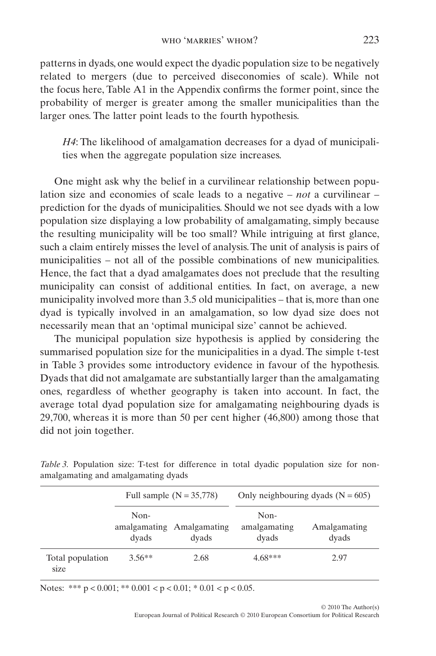patterns in dyads, one would expect the dyadic population size to be negatively related to mergers (due to perceived diseconomies of scale). While not the focus here, Table A1 in the Appendix confirms the former point, since the probability of merger is greater among the smaller municipalities than the larger ones. The latter point leads to the fourth hypothesis.

*H4*: The likelihood of amalgamation decreases for a dyad of municipalities when the aggregate population size increases.

One might ask why the belief in a curvilinear relationship between population size and economies of scale leads to a negative – *not* a curvilinear – prediction for the dyads of municipalities. Should we not see dyads with a low population size displaying a low probability of amalgamating, simply because the resulting municipality will be too small? While intriguing at first glance, such a claim entirely misses the level of analysis. The unit of analysis is pairs of municipalities – not all of the possible combinations of new municipalities. Hence, the fact that a dyad amalgamates does not preclude that the resulting municipality can consist of additional entities. In fact, on average, a new municipality involved more than 3.5 old municipalities – that is, more than one dyad is typically involved in an amalgamation, so low dyad size does not necessarily mean that an 'optimal municipal size' cannot be achieved.

The municipal population size hypothesis is applied by considering the summarised population size for the municipalities in a dyad. The simple t-test in Table 3 provides some introductory evidence in favour of the hypothesis. Dyads that did not amalgamate are substantially larger than the amalgamating ones, regardless of whether geography is taken into account. In fact, the average total dyad population size for amalgamating neighbouring dyads is 29,700, whereas it is more than 50 per cent higher (46,800) among those that did not join together.

|                          |               | Full sample $(N = 35,778)$         |                               | Only neighbouring dyads $(N = 605)$ |
|--------------------------|---------------|------------------------------------|-------------------------------|-------------------------------------|
|                          | Non-<br>dyads | amalgamating Amalgamating<br>dyads | Non-<br>amalgamating<br>dyads | Amalgamating<br>dyads               |
| Total population<br>size | $3.56**$      | 2.68                               | $4.68***$                     | 2.97                                |

*Table 3.* Population size: T-test for difference in total dyadic population size for nonamalgamating and amalgamating dyads

Notes: \*\*\*  $p < 0.001$ ; \*\*  $0.001 < p < 0.01$ ; \*  $0.01 < p < 0.05$ .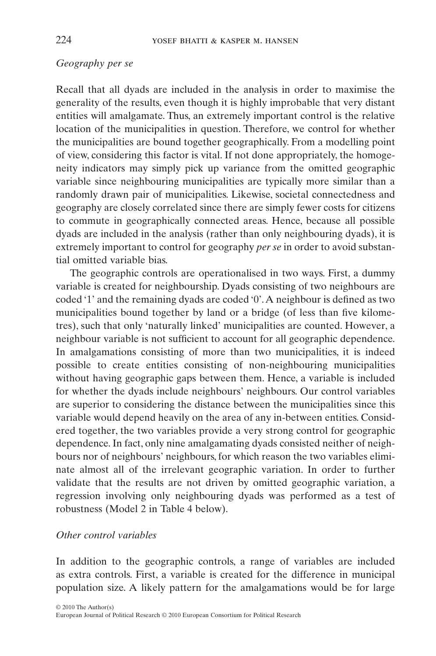### *Geography per se*

Recall that all dyads are included in the analysis in order to maximise the generality of the results, even though it is highly improbable that very distant entities will amalgamate. Thus, an extremely important control is the relative location of the municipalities in question. Therefore, we control for whether the municipalities are bound together geographically. From a modelling point of view, considering this factor is vital. If not done appropriately, the homogeneity indicators may simply pick up variance from the omitted geographic variable since neighbouring municipalities are typically more similar than a randomly drawn pair of municipalities. Likewise, societal connectedness and geography are closely correlated since there are simply fewer costs for citizens to commute in geographically connected areas. Hence, because all possible dyads are included in the analysis (rather than only neighbouring dyads), it is extremely important to control for geography *per se* in order to avoid substantial omitted variable bias.

The geographic controls are operationalised in two ways. First, a dummy variable is created for neighbourship. Dyads consisting of two neighbours are coded '1' and the remaining dyads are coded '0'. A neighbour is defined as two municipalities bound together by land or a bridge (of less than five kilometres), such that only 'naturally linked' municipalities are counted. However, a neighbour variable is not sufficient to account for all geographic dependence. In amalgamations consisting of more than two municipalities, it is indeed possible to create entities consisting of non-neighbouring municipalities without having geographic gaps between them. Hence, a variable is included for whether the dyads include neighbours' neighbours. Our control variables are superior to considering the distance between the municipalities since this variable would depend heavily on the area of any in-between entities. Considered together, the two variables provide a very strong control for geographic dependence. In fact, only nine amalgamating dyads consisted neither of neighbours nor of neighbours' neighbours, for which reason the two variables eliminate almost all of the irrelevant geographic variation. In order to further validate that the results are not driven by omitted geographic variation, a regression involving only neighbouring dyads was performed as a test of robustness (Model 2 in Table 4 below).

### *Other control variables*

In addition to the geographic controls, a range of variables are included as extra controls. First, a variable is created for the difference in municipal population size. A likely pattern for the amalgamations would be for large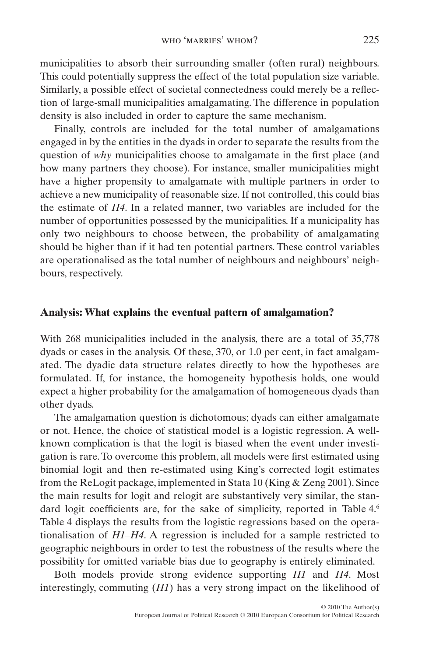municipalities to absorb their surrounding smaller (often rural) neighbours. This could potentially suppress the effect of the total population size variable. Similarly, a possible effect of societal connectedness could merely be a reflection of large-small municipalities amalgamating. The difference in population density is also included in order to capture the same mechanism.

Finally, controls are included for the total number of amalgamations engaged in by the entities in the dyads in order to separate the results from the question of *why* municipalities choose to amalgamate in the first place (and how many partners they choose). For instance, smaller municipalities might have a higher propensity to amalgamate with multiple partners in order to achieve a new municipality of reasonable size. If not controlled, this could bias the estimate of *H4*. In a related manner, two variables are included for the number of opportunities possessed by the municipalities. If a municipality has only two neighbours to choose between, the probability of amalgamating should be higher than if it had ten potential partners. These control variables are operationalised as the total number of neighbours and neighbours' neighbours, respectively.

### **Analysis: What explains the eventual pattern of amalgamation?**

With 268 municipalities included in the analysis, there are a total of 35,778 dyads or cases in the analysis. Of these, 370, or 1.0 per cent, in fact amalgamated. The dyadic data structure relates directly to how the hypotheses are formulated. If, for instance, the homogeneity hypothesis holds, one would expect a higher probability for the amalgamation of homogeneous dyads than other dyads.

The amalgamation question is dichotomous; dyads can either amalgamate or not. Hence, the choice of statistical model is a logistic regression. A wellknown complication is that the logit is biased when the event under investigation is rare. To overcome this problem, all models were first estimated using binomial logit and then re-estimated using King's corrected logit estimates from the ReLogit package, implemented in Stata 10 (King & Zeng 2001). Since the main results for logit and relogit are substantively very similar, the standard logit coefficients are, for the sake of simplicity, reported in Table 4.<sup>6</sup> Table 4 displays the results from the logistic regressions based on the operationalisation of *H1*–*H4*. A regression is included for a sample restricted to geographic neighbours in order to test the robustness of the results where the possibility for omitted variable bias due to geography is entirely eliminated.

Both models provide strong evidence supporting *H1* and *H4*. Most interestingly, commuting (*H1*) has a very strong impact on the likelihood of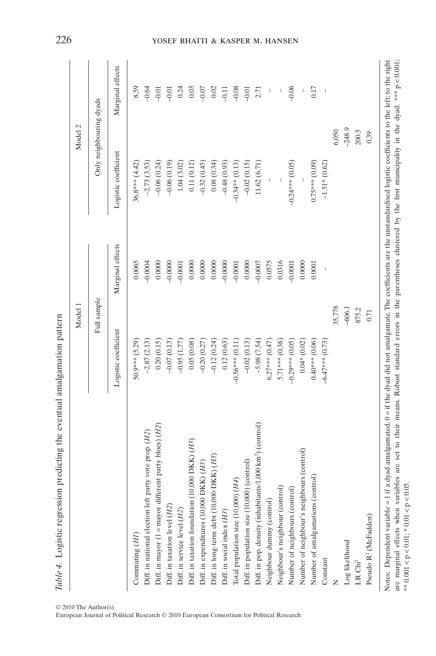|                                                                                                                                                                                                                                                                                                                                                          | Model 1              |                  | Model 2                 |                                                                                                                                                                                                                                                                                                                                                                                                                |
|----------------------------------------------------------------------------------------------------------------------------------------------------------------------------------------------------------------------------------------------------------------------------------------------------------------------------------------------------------|----------------------|------------------|-------------------------|----------------------------------------------------------------------------------------------------------------------------------------------------------------------------------------------------------------------------------------------------------------------------------------------------------------------------------------------------------------------------------------------------------------|
|                                                                                                                                                                                                                                                                                                                                                          | Full sample          |                  | Only neighbouring dyads |                                                                                                                                                                                                                                                                                                                                                                                                                |
|                                                                                                                                                                                                                                                                                                                                                          | Logistic coefficient | Marginal effects | Logistic coefficient    | Marginal effects                                                                                                                                                                                                                                                                                                                                                                                               |
| Commuting $(HI)$                                                                                                                                                                                                                                                                                                                                         | 50.9*** (5.29)       | 0.0065           | $36.8***$ (4.42)        | 8.59                                                                                                                                                                                                                                                                                                                                                                                                           |
| Diff. in national election left party vote prop. (H2)                                                                                                                                                                                                                                                                                                    | $-2.87(2.13)$        | $-0.0004$        | $-2.73(3.53)$           | $-0.64$                                                                                                                                                                                                                                                                                                                                                                                                        |
| Diff. in mayor $(1 =$ mayor different party blocs) $(H2)$                                                                                                                                                                                                                                                                                                | 0.20(0.15)           | 0.0000           | $-0.06(0.24)$           | $-0.01$                                                                                                                                                                                                                                                                                                                                                                                                        |
| Diff. in taxation level (H2)                                                                                                                                                                                                                                                                                                                             | $-0.07(0.13)$        | $-0.0000$        | $-0.06(0.19)$           | $-0.01$                                                                                                                                                                                                                                                                                                                                                                                                        |
| Diff. in service level (H2)                                                                                                                                                                                                                                                                                                                              | $-0.95(1.77)$        | $-0.0001$        | 1.04(3.02)              | 0.24                                                                                                                                                                                                                                                                                                                                                                                                           |
| Diff. in taxation foundation (10,000 DKK) (H3)                                                                                                                                                                                                                                                                                                           | 0.05(0.08)           | 0.0000           | 0.11(0.12)              | 0.03                                                                                                                                                                                                                                                                                                                                                                                                           |
| Diff. in expenditures (10,000 DKK) (H3)                                                                                                                                                                                                                                                                                                                  | $-0.20(0.27)$        | 0.0000           | $-0.32(0.45)$           | $-0.07$                                                                                                                                                                                                                                                                                                                                                                                                        |
| Diff. in long-term debt (10,000 DKK) (H3)                                                                                                                                                                                                                                                                                                                | $-0.12(0.24)$        | 0.0000           | 0.08(0.34)              | 0.02                                                                                                                                                                                                                                                                                                                                                                                                           |
| Diff. in social index (H3)                                                                                                                                                                                                                                                                                                                               | 0.12(0.63)           | $-0.0000$        | $-0.48(0.93)$           | $-0.11$                                                                                                                                                                                                                                                                                                                                                                                                        |
| $0,000)$ $(H4)$<br>Total population size (1                                                                                                                                                                                                                                                                                                              | $-0.56***(0.11)$     | $-0.0001$        | $-0.34**$ (0.13)        | $-0.08$                                                                                                                                                                                                                                                                                                                                                                                                        |
| Diff. in population size (10,000) (control)                                                                                                                                                                                                                                                                                                              | $-0.02(0.13)$        | 0.0000           | $-0.02(0.15)$           | $-0.01$                                                                                                                                                                                                                                                                                                                                                                                                        |
| Diff. in pop. density (inhabitants/1,000 km <sup>2</sup> ) (control)                                                                                                                                                                                                                                                                                     | $-5.98(7.54)$        | $-0.0007$        | 11.62 (6.71)            | 2.71                                                                                                                                                                                                                                                                                                                                                                                                           |
| Neighbour dummy (control)                                                                                                                                                                                                                                                                                                                                | $6.27***$ (0.47)     | 0.0575           |                         | $\begin{array}{c} \rule{0pt}{2.5ex} \rule{0pt}{2.5ex} \rule{0pt}{2.5ex} \rule{0pt}{2.5ex} \rule{0pt}{2.5ex} \rule{0pt}{2.5ex} \rule{0pt}{2.5ex} \rule{0pt}{2.5ex} \rule{0pt}{2.5ex} \rule{0pt}{2.5ex} \rule{0pt}{2.5ex} \rule{0pt}{2.5ex} \rule{0pt}{2.5ex} \rule{0pt}{2.5ex} \rule{0pt}{2.5ex} \rule{0pt}{2.5ex} \rule{0pt}{2.5ex} \rule{0pt}{2.5ex} \rule{0pt}{2.5ex} \rule{0$                               |
| Neighbour's neighbour (control)                                                                                                                                                                                                                                                                                                                          | $5.71***$ (0.38)     | 0.0316           |                         |                                                                                                                                                                                                                                                                                                                                                                                                                |
| Number of neighbours (control)                                                                                                                                                                                                                                                                                                                           | $-0.29***$ (0.05)    | $-0.0001$        | $-0.24***$ (0.05)       | $-0.06$                                                                                                                                                                                                                                                                                                                                                                                                        |
| Number of neighbour's neighbours (control)                                                                                                                                                                                                                                                                                                               | $0.04*(0.02)$        | 0.0000           |                         | $\begin{array}{c} \rule{0pt}{2ex} \rule{0pt}{2ex} \rule{0pt}{2ex} \rule{0pt}{2ex} \rule{0pt}{2ex} \rule{0pt}{2ex} \rule{0pt}{2ex} \rule{0pt}{2ex} \rule{0pt}{2ex} \rule{0pt}{2ex} \rule{0pt}{2ex} \rule{0pt}{2ex} \rule{0pt}{2ex} \rule{0pt}{2ex} \rule{0pt}{2ex} \rule{0pt}{2ex} \rule{0pt}{2ex} \rule{0pt}{2ex} \rule{0pt}{2ex} \rule{0pt}{2ex} \rule{0pt}{2ex} \rule{0pt}{2ex} \rule{0pt}{2ex} \rule{0pt}{$ |
| Number of amalgamations (control)                                                                                                                                                                                                                                                                                                                        | $0.40***$ (0.06)     | 0.0001           | $0.75***$ (0.09)        | 0.17                                                                                                                                                                                                                                                                                                                                                                                                           |
| Constant                                                                                                                                                                                                                                                                                                                                                 | $-6.47***$ (0.73)    | $\bar{1}$        | $-1.51*(0.62)$          | $\,$ $\,$                                                                                                                                                                                                                                                                                                                                                                                                      |
|                                                                                                                                                                                                                                                                                                                                                          | 35,778               |                  | 6,050                   |                                                                                                                                                                                                                                                                                                                                                                                                                |
| Log likelihood                                                                                                                                                                                                                                                                                                                                           | $-606.1$             |                  | $-248.9$                |                                                                                                                                                                                                                                                                                                                                                                                                                |
| ${\rm LR~Ch^2}$                                                                                                                                                                                                                                                                                                                                          | 875.2                |                  | 200.5                   |                                                                                                                                                                                                                                                                                                                                                                                                                |
| Pseudo R <sup>2</sup> (McFadden)                                                                                                                                                                                                                                                                                                                         | 0.71                 |                  | 0.39                    |                                                                                                                                                                                                                                                                                                                                                                                                                |
| Notes: Dependent variable = 1 if a dyad amalgamated, 0 = if the dyad did not amalgamate. The coefficients are the unstandardised logistic coefficients to the left; to the right<br>are marginal effects when variables are set to their means. Robust standard errors in the parentheses clustered by the first municipality in the dyad. *** p <0.001; |                      |                  |                         |                                                                                                                                                                                                                                                                                                                                                                                                                |

 $*$   $*$   $0.001 < p < 0.01; *$   $0.01 < p < 0.05$ .

\*\*  $0.001 < p < 0.01$ ; \*  $0.01 < p < 0.05$ .

Table 4. Logistic regression predicting the eventual amalgamation pattern *Table 4.* Logistic regression predicting the eventual amalgamation pattern

| $\odot$ 2010 The Author(s) |  |
|----------------------------|--|
|----------------------------|--|

© 2010 The Author(s) European Journal of Political Research © 2010 European Consortium for Political Research

# 226 YOSEF BHATTI & KASPER M. HANSEN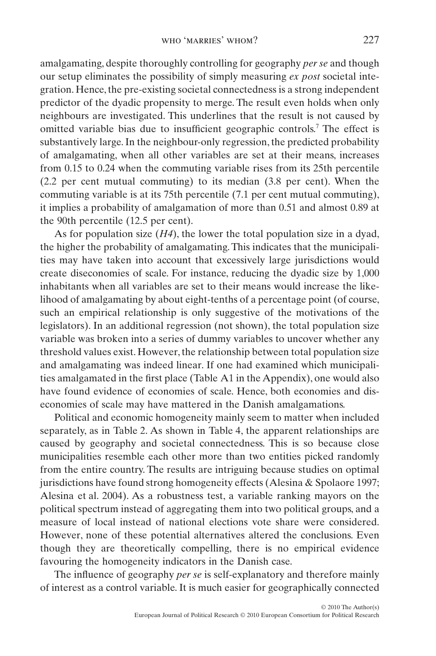amalgamating, despite thoroughly controlling for geography *per se* and though our setup eliminates the possibility of simply measuring *ex post* societal integration. Hence, the pre-existing societal connectedness is a strong independent predictor of the dyadic propensity to merge. The result even holds when only neighbours are investigated. This underlines that the result is not caused by omitted variable bias due to insufficient geographic controls.7 The effect is substantively large. In the neighbour-only regression, the predicted probability of amalgamating, when all other variables are set at their means, increases from 0.15 to 0.24 when the commuting variable rises from its 25th percentile (2.2 per cent mutual commuting) to its median (3.8 per cent). When the commuting variable is at its 75th percentile (7.1 per cent mutual commuting), it implies a probability of amalgamation of more than 0.51 and almost 0.89 at the 90th percentile (12.5 per cent).

As for population size (*H4*), the lower the total population size in a dyad, the higher the probability of amalgamating. This indicates that the municipalities may have taken into account that excessively large jurisdictions would create diseconomies of scale. For instance, reducing the dyadic size by 1,000 inhabitants when all variables are set to their means would increase the likelihood of amalgamating by about eight-tenths of a percentage point (of course, such an empirical relationship is only suggestive of the motivations of the legislators). In an additional regression (not shown), the total population size variable was broken into a series of dummy variables to uncover whether any threshold values exist. However, the relationship between total population size and amalgamating was indeed linear. If one had examined which municipalities amalgamated in the first place (Table A1 in the Appendix), one would also have found evidence of economies of scale. Hence, both economies and diseconomies of scale may have mattered in the Danish amalgamations.

Political and economic homogeneity mainly seem to matter when included separately, as in Table 2. As shown in Table 4, the apparent relationships are caused by geography and societal connectedness. This is so because close municipalities resemble each other more than two entities picked randomly from the entire country. The results are intriguing because studies on optimal jurisdictions have found strong homogeneity effects (Alesina & Spolaore 1997; Alesina et al. 2004). As a robustness test, a variable ranking mayors on the political spectrum instead of aggregating them into two political groups, and a measure of local instead of national elections vote share were considered. However, none of these potential alternatives altered the conclusions. Even though they are theoretically compelling, there is no empirical evidence favouring the homogeneity indicators in the Danish case.

The influence of geography *per se* is self-explanatory and therefore mainly of interest as a control variable. It is much easier for geographically connected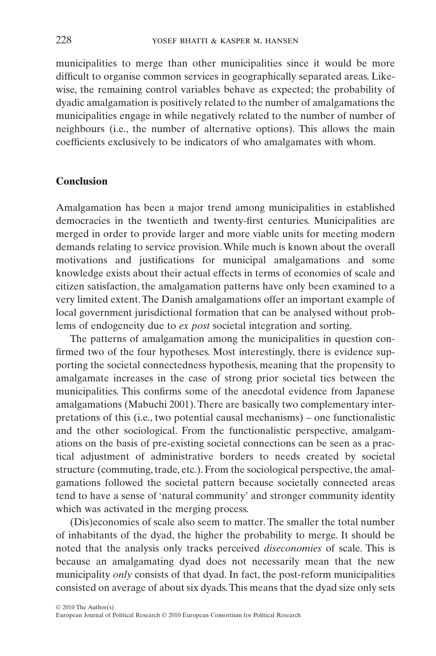municipalities to merge than other municipalities since it would be more difficult to organise common services in geographically separated areas. Likewise, the remaining control variables behave as expected; the probability of dyadic amalgamation is positively related to the number of amalgamations the municipalities engage in while negatively related to the number of number of neighbours (i.e., the number of alternative options). This allows the main coefficients exclusively to be indicators of who amalgamates with whom.

# **Conclusion**

Amalgamation has been a major trend among municipalities in established democracies in the twentieth and twenty-first centuries. Municipalities are merged in order to provide larger and more viable units for meeting modern demands relating to service provision. While much is known about the overall motivations and justifications for municipal amalgamations and some knowledge exists about their actual effects in terms of economies of scale and citizen satisfaction, the amalgamation patterns have only been examined to a very limited extent. The Danish amalgamations offer an important example of local government jurisdictional formation that can be analysed without problems of endogeneity due to *ex post* societal integration and sorting.

The patterns of amalgamation among the municipalities in question confirmed two of the four hypotheses. Most interestingly, there is evidence supporting the societal connectedness hypothesis, meaning that the propensity to amalgamate increases in the case of strong prior societal ties between the municipalities. This confirms some of the anecdotal evidence from Japanese amalgamations (Mabuchi 2001). There are basically two complementary interpretations of this (i.e., two potential causal mechanisms) – one functionalistic and the other sociological. From the functionalistic perspective, amalgamations on the basis of pre-existing societal connections can be seen as a practical adjustment of administrative borders to needs created by societal structure (commuting, trade, etc.). From the sociological perspective, the amalgamations followed the societal pattern because societally connected areas tend to have a sense of 'natural community' and stronger community identity which was activated in the merging process.

(Dis)economies of scale also seem to matter. The smaller the total number of inhabitants of the dyad, the higher the probability to merge. It should be noted that the analysis only tracks perceived *diseconomies* of scale. This is because an amalgamating dyad does not necessarily mean that the new municipality *only* consists of that dyad. In fact, the post-reform municipalities consisted on average of about six dyads.This means that the dyad size only sets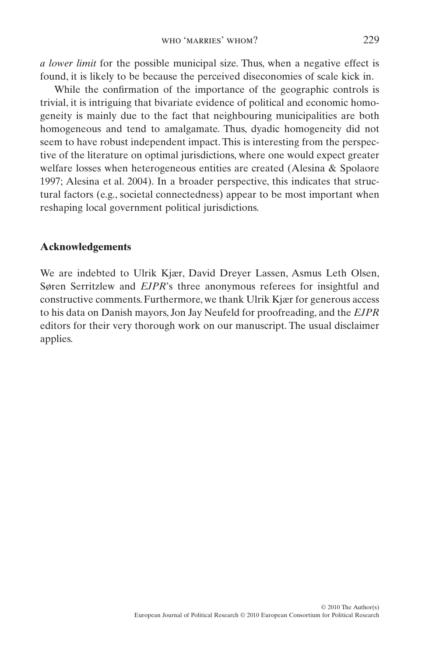*a lower limit* for the possible municipal size. Thus, when a negative effect is found, it is likely to be because the perceived diseconomies of scale kick in.

While the confirmation of the importance of the geographic controls is trivial, it is intriguing that bivariate evidence of political and economic homogeneity is mainly due to the fact that neighbouring municipalities are both homogeneous and tend to amalgamate. Thus, dyadic homogeneity did not seem to have robust independent impact. This is interesting from the perspective of the literature on optimal jurisdictions, where one would expect greater welfare losses when heterogeneous entities are created (Alesina & Spolaore 1997; Alesina et al. 2004). In a broader perspective, this indicates that structural factors (e.g., societal connectedness) appear to be most important when reshaping local government political jurisdictions.

### **Acknowledgements**

We are indebted to Ulrik Kjær, David Dreyer Lassen, Asmus Leth Olsen, Søren Serritzlew and *EJPR*'s three anonymous referees for insightful and constructive comments. Furthermore, we thank Ulrik Kjær for generous access to his data on Danish mayors, Jon Jay Neufeld for proofreading, and the *EJPR* editors for their very thorough work on our manuscript. The usual disclaimer applies.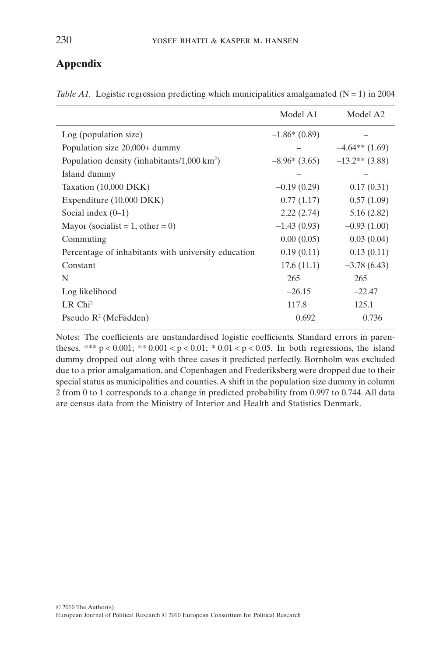## **Appendix**

|                                                         | Model A1       | Model A <sub>2</sub> |
|---------------------------------------------------------|----------------|----------------------|
| Log (population size)                                   | $-1.86*(0.89)$ |                      |
| Population size 20,000+ dummy                           |                | $-4.64**$ (1.69)     |
| Population density (inhabitants/1,000 km <sup>2</sup> ) | $-8.96*(3.65)$ | $-13.2**$ (3.88)     |
| Island dummy                                            |                |                      |
| Taxation $(10,000 \text{ DKK})$                         | $-0.19(0.29)$  | 0.17(0.31)           |
| Expenditure $(10,000 \text{ DKK})$                      | 0.77(1.17)     | 0.57(1.09)           |
| Social index $(0-1)$                                    | 2.22(2.74)     | 5.16(2.82)           |
| Mayor (socialist = 1, other = 0)                        | $-1.43(0.93)$  | $-0.93(1.00)$        |
| Commuting                                               | 0.00(0.05)     | 0.03(0.04)           |
| Percentage of inhabitants with university education     | 0.19(0.11)     | 0.13(0.11)           |
| Constant                                                | 17.6(11.1)     | $-3.78(6.43)$        |
| N                                                       | 265            | 265                  |
| Log likelihood                                          | $-26.15$       | $-22.47$             |
| LR Chi <sup>2</sup>                                     | 117.8          | 125.1                |
| Pseudo $R^2$ (McFadden)                                 | 0.692          | 0.736                |

*Table A1.* Logistic regression predicting which municipalities amalgamated  $(N = 1)$  in 2004

Notes: The coefficients are unstandardised logistic coefficients. Standard errors in parentheses. \*\*\*  $p < 0.001$ ; \*\*  $0.001 < p < 0.01$ ; \*  $0.01 < p < 0.05$ . In both regressions, the island dummy dropped out along with three cases it predicted perfectly. Bornholm was excluded due to a prior amalgamation, and Copenhagen and Frederiksberg were dropped due to their special status as municipalities and counties.A shift in the population size dummy in column 2 from 0 to 1 corresponds to a change in predicted probability from 0.997 to 0.744. All data are census data from the Ministry of Interior and Health and Statistics Denmark.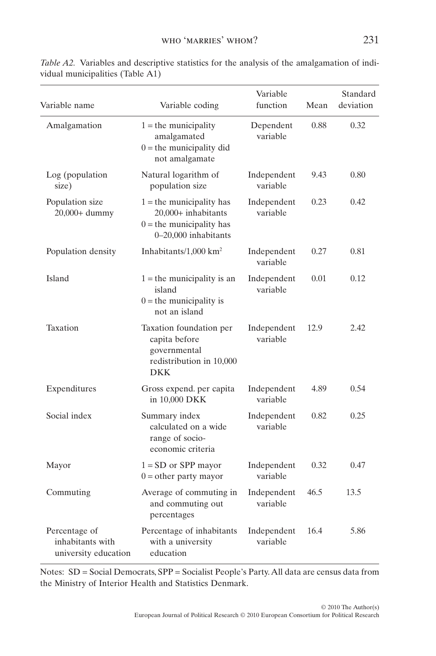| Variable name                                             | Variable coding                                                                                           | Variable<br>function    | Mean | Standard<br>deviation |
|-----------------------------------------------------------|-----------------------------------------------------------------------------------------------------------|-------------------------|------|-----------------------|
| Amalgamation                                              | $1 =$ the municipality<br>amalgamated<br>$0 =$ the municipality did<br>not amalgamate                     | Dependent<br>variable   | 0.88 | 0.32                  |
| Log (population<br>size)                                  | Natural logarithm of<br>population size                                                                   | Independent<br>variable | 9.43 | 0.80                  |
| Population size<br>20,000+ dummy                          | $1 =$ the municipality has<br>$20,000+$ inhabitants<br>$0 =$ the municipality has<br>0-20,000 inhabitants | Independent<br>variable | 0.23 | 0.42                  |
| Population density                                        | Inhabitants/1,000 $km^2$                                                                                  | Independent<br>variable | 0.27 | 0.81                  |
| Island                                                    | $1 =$ the municipality is an<br>island<br>$0 =$ the municipality is<br>not an island                      | Independent<br>variable | 0.01 | 0.12                  |
| Taxation                                                  | Taxation foundation per<br>capita before<br>governmental<br>redistribution in 10,000<br><b>DKK</b>        | Independent<br>variable | 12.9 | 2.42                  |
| Expenditures                                              | Gross expend. per capita<br>in 10,000 DKK                                                                 | Independent<br>variable | 4.89 | 0.54                  |
| Social index                                              | Summary index<br>calculated on a wide<br>range of socio-<br>economic criteria                             | Independent<br>variable | 0.82 | 0.25                  |
| Mayor                                                     | $1 = SD$ or SPP mayor<br>$0 =$ other party mayor                                                          | Independent<br>variable | 0.32 | 0.47                  |
| Commuting                                                 | Average of commuting in<br>and commuting out<br>percentages                                               | Independent<br>variable | 46.5 | 13.5                  |
| Percentage of<br>inhabitants with<br>university education | Percentage of inhabitants<br>with a university<br>education                                               | Independent<br>variable | 16.4 | 5.86                  |

*Table A2.* Variables and descriptive statistics for the analysis of the amalgamation of individual municipalities (Table A1)

Notes: SD = Social Democrats, SPP = Socialist People's Party.All data are census data from the Ministry of Interior Health and Statistics Denmark.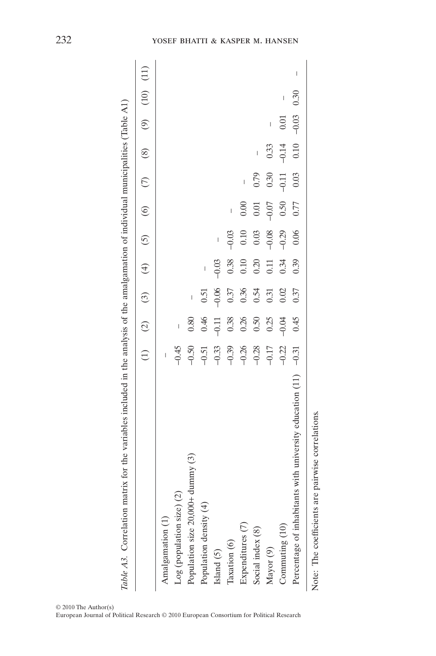|                                                          |         |         |         |         |         | (11) (2) (3) (4) (5) (6) (8) (9) (11) (11) |         |         |         |      |                                                                                                                                                                                                                                                                                                                                                                                  |
|----------------------------------------------------------|---------|---------|---------|---------|---------|--------------------------------------------|---------|---------|---------|------|----------------------------------------------------------------------------------------------------------------------------------------------------------------------------------------------------------------------------------------------------------------------------------------------------------------------------------------------------------------------------------|
| Amalgamation (1)                                         |         |         |         |         |         |                                            |         |         |         |      |                                                                                                                                                                                                                                                                                                                                                                                  |
| Log (population size) (2)                                | $-0.45$ | l       |         |         |         |                                            |         |         |         |      |                                                                                                                                                                                                                                                                                                                                                                                  |
| Population size 20,000+ dummy (3)                        | $-0.50$ | 0.80    |         |         |         |                                            |         |         |         |      |                                                                                                                                                                                                                                                                                                                                                                                  |
| $\bigoplus$<br>Population density                        | $-0.51$ | 0.46    | 0.51    |         |         |                                            |         |         |         |      |                                                                                                                                                                                                                                                                                                                                                                                  |
| Island $(5)$                                             | $-0.33$ | $-0.11$ | $-0.06$ | $-0.03$ |         |                                            |         |         |         |      |                                                                                                                                                                                                                                                                                                                                                                                  |
| Taxation (6)                                             | $-0.39$ | 0.38    | 0.37    | 0.38    | $-0.03$ |                                            |         |         |         |      |                                                                                                                                                                                                                                                                                                                                                                                  |
| Expenditures (7)                                         | $-0.26$ | 0.26    | 0.36    | 0.10    | 0.10    | 0.00                                       |         |         |         |      |                                                                                                                                                                                                                                                                                                                                                                                  |
| Social index (8)                                         | $-0.28$ | 0.50    | 0.54    | 0.20    | 0.03    | 0.01                                       | 0.79    |         |         |      |                                                                                                                                                                                                                                                                                                                                                                                  |
| Mayor (9)                                                | $-0.17$ | 0.25    | 0.31    | 0.11    | $-0.08$ | $-0.07$                                    | 0.30    | 0.33    | I       |      |                                                                                                                                                                                                                                                                                                                                                                                  |
| Commuting (10)                                           | $-0.22$ | $-0.04$ | 0.02    | 0.34    | $-0.29$ | 0.50                                       | $-0.11$ | $-0.14$ | 0.01    |      |                                                                                                                                                                                                                                                                                                                                                                                  |
| Percentage of inhabitants with university education (11) | $-0.31$ | 0.45    | 0.37    | 0.39    | 0.06    | 0.77                                       | 0.03    | 0.10    | $-0.03$ | 0.30 | $\begin{array}{c} \rule{0pt}{2.5ex} \rule{0pt}{2.5ex} \rule{0pt}{2.5ex} \rule{0pt}{2.5ex} \rule{0pt}{2.5ex} \rule{0pt}{2.5ex} \rule{0pt}{2.5ex} \rule{0pt}{2.5ex} \rule{0pt}{2.5ex} \rule{0pt}{2.5ex} \rule{0pt}{2.5ex} \rule{0pt}{2.5ex} \rule{0pt}{2.5ex} \rule{0pt}{2.5ex} \rule{0pt}{2.5ex} \rule{0pt}{2.5ex} \rule{0pt}{2.5ex} \rule{0pt}{2.5ex} \rule{0pt}{2.5ex} \rule{0$ |
|                                                          |         |         |         |         |         |                                            |         |         |         |      |                                                                                                                                                                                                                                                                                                                                                                                  |

© 2010 The Author(s)

European Journal of Political Research © 2010 European Consortium for Political Research

Note: The coefficients are pairwise correlations. Note: The coefficients are pairwise correlations.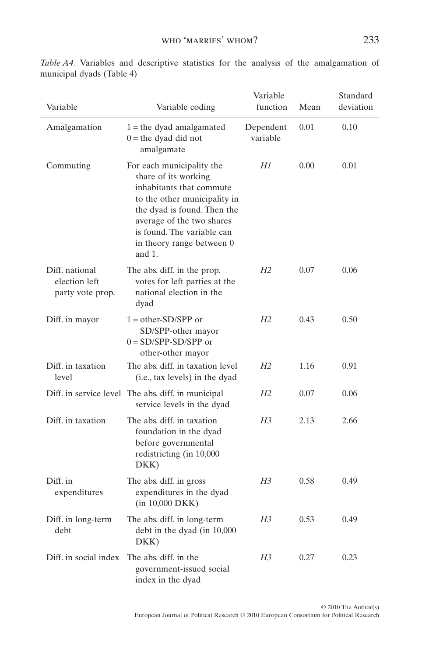| Variable                                            | Variable coding                                                                                                                                                                                                                                | Variable<br>function  | Mean | Standard<br>deviation |
|-----------------------------------------------------|------------------------------------------------------------------------------------------------------------------------------------------------------------------------------------------------------------------------------------------------|-----------------------|------|-----------------------|
| Amalgamation                                        | $1 =$ the dyad amalgamated<br>$0 =$ the dyad did not<br>amalgamate                                                                                                                                                                             | Dependent<br>variable | 0.01 | 0.10                  |
| Commuting                                           | For each municipality the<br>share of its working<br>inhabitants that commute<br>to the other municipality in<br>the dyad is found. Then the<br>average of the two shares<br>is found. The variable can<br>in theory range between 0<br>and 1. | H1                    | 0.00 | 0.01                  |
| Diff. national<br>election left<br>party vote prop. | The abs. diff. in the prop.<br>votes for left parties at the<br>national election in the<br>dyad                                                                                                                                               | H <sub>2</sub>        | 0.07 | 0.06                  |
| Diff. in mayor                                      | $1 = other-SD/SPP$ or<br>SD/SPP-other mayor<br>$0 = SD/SPP-SD/SPP$ or<br>other-other mayor                                                                                                                                                     | H <sub>2</sub>        | 0.43 | 0.50                  |
| Diff. in taxation<br>level                          | The abs. diff. in taxation level<br>(i.e., tax levels) in the dyad                                                                                                                                                                             | H <sub>2</sub>        | 1.16 | 0.91                  |
|                                                     | Diff. in service level The abs. diff. in municipal<br>service levels in the dyad                                                                                                                                                               | H <sub>2</sub>        | 0.07 | 0.06                  |
| Diff. in taxation                                   | The abs. diff. in taxation<br>foundation in the dyad<br>before governmental<br>redistricting (in 10,000<br>DKK)                                                                                                                                | H3                    | 2.13 | 2.66                  |
| Diff. in<br>expenditures                            | The abs. diff. in gross<br>expenditures in the dyad<br>(in 10,000 DKK)                                                                                                                                                                         | H <sub>3</sub>        | 0.58 | 0.49                  |
| Diff. in long-term<br>debt                          | The abs. diff. in long-term<br>debt in the dyad (in 10,000<br>DKK                                                                                                                                                                              | H3                    | 0.53 | 0.49                  |
| Diff. in social index                               | The abs. diff. in the<br>government-issued social<br>index in the dyad                                                                                                                                                                         | Η3                    | 0.27 | 0.23                  |

*Table A4.* Variables and descriptive statistics for the analysis of the amalgamation of municipal dyads (Table 4)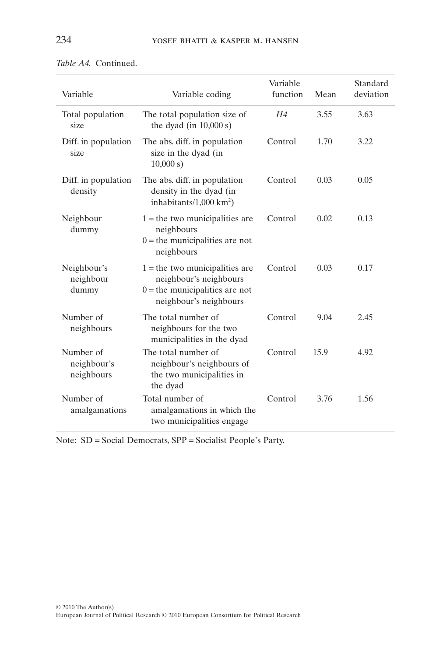| Variable                               | Variable coding                                                                                                          | Variable<br>function | Mean | Standard<br>deviation |
|----------------------------------------|--------------------------------------------------------------------------------------------------------------------------|----------------------|------|-----------------------|
| Total population<br>size               | The total population size of<br>the dyad (in $10,000 s$ )                                                                | H4                   | 3.55 | 3.63                  |
| Diff. in population<br>size            | The abs. diff. in population<br>size in the dyad (in<br>10,000 s                                                         | Control              | 1.70 | 3.22                  |
| Diff. in population<br>density         | The abs. diff. in population<br>density in the dyad (in<br>inhabitants/ $1,000 \text{ km}^2$ )                           | Control              | 0.03 | 0.05                  |
| Neighbour<br>dummy                     | $1 =$ the two municipalities are<br>neighbours<br>$0 =$ the municipalities are not<br>neighbours                         | Control              | 0.02 | 0.13                  |
| Neighbour's<br>neighbour<br>dummy      | $1 =$ the two municipalities are<br>neighbour's neighbours<br>$0 =$ the municipalities are not<br>neighbour's neighbours | Control              | 0.03 | 0.17                  |
| Number of<br>neighbours                | The total number of<br>neighbours for the two<br>municipalities in the dyad                                              | Control              | 9.04 | 2.45                  |
| Number of<br>neighbour's<br>neighbours | The total number of<br>neighbour's neighbours of<br>the two municipalities in<br>the dyad                                | Control              | 15.9 | 4.92                  |
| Number of<br>amalgamations             | Total number of<br>amalgamations in which the<br>two municipalities engage                                               | Control              | 3.76 | 1.56                  |

Note: SD = Social Democrats, SPP = Socialist People's Party.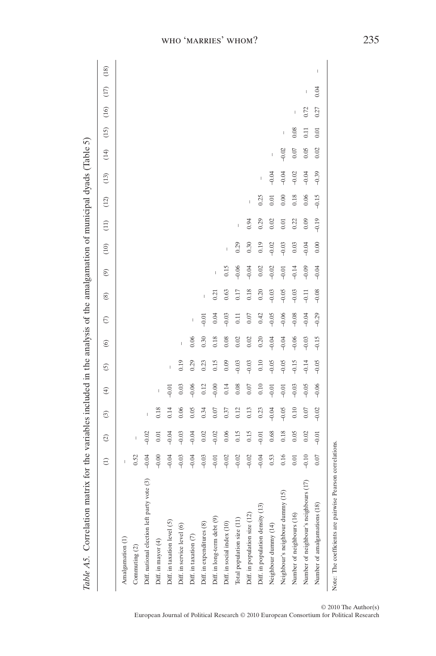| Table A5. Correlation matrix for the variables included in the analysis of the amalgamation of municipal dyads (Table 5) |         |                   |         |               |         |                |            |         |                |                 |                   |           |         |         |       |      |              |                                |
|--------------------------------------------------------------------------------------------------------------------------|---------|-------------------|---------|---------------|---------|----------------|------------|---------|----------------|-----------------|-------------------|-----------|---------|---------|-------|------|--------------|--------------------------------|
|                                                                                                                          | Ξ       | $\widehat{\circ}$ | ි       | $\widehat{E}$ | 6       | $\circledcirc$ | $\epsilon$ | ඔ       | $\circledcirc$ | $\widehat{\Xi}$ | $\left(11\right)$ | (12)      | (13)    | (14)    | (15)  | (16) | (18)<br>(17) |                                |
| Amalgamation (1)                                                                                                         | I       |                   |         |               |         |                |            |         |                |                 |                   |           |         |         |       |      |              |                                |
| Commuting $\left( 2\right)$                                                                                              | 0.52    | I                 |         |               |         |                |            |         |                |                 |                   |           |         |         |       |      |              |                                |
| Diff. national election left party vote (3)                                                                              | $-0.04$ | $-0.02$           | I       |               |         |                |            |         |                |                 |                   |           |         |         |       |      |              |                                |
| Diff. in mayor (4)                                                                                                       | $-0.00$ | 0.01              | 0.18    |               |         |                |            |         |                |                 |                   |           |         |         |       |      |              |                                |
| Diff. in taxation level (5)                                                                                              | $-0.04$ | $-0.04$           | 0.14    | $-0.01$       | L       |                |            |         |                |                 |                   |           |         |         |       |      |              |                                |
| Diff. in service level (6)                                                                                               | $-0.03$ | $-0.03$           | 0.06    | 0.03          | 0.19    | I              |            |         |                |                 |                   |           |         |         |       |      |              |                                |
| Diff. in taxation $(7)$                                                                                                  | $-0.04$ | $-0.04$           | 0.05    | $-0.06$       | 0.29    | 0.06           | I          |         |                |                 |                   |           |         |         |       |      |              |                                |
| $\rm{Diff.}$ in expenditures $(8)$                                                                                       | $-0.03$ | 0.02              | 0.34    | 0.12          | 0.23    | 0.30           | $-0.01$    | I       |                |                 |                   |           |         |         |       |      |              |                                |
| Diff. in long-term debt $(9)$                                                                                            | $-0.01$ | $-0.02$           | 0.07    | $-0.00$       | 0.15    | 0.18           | 0.04       | 0.21    |                |                 |                   |           |         |         |       |      |              |                                |
| Diff. in social index (10)                                                                                               | $-0.02$ | 0.06              | 0.37    | 0.14          | 0.09    | 0.08           | $-0.03$    | 0.63    | 0.15           | Ï               |                   |           |         |         |       |      |              |                                |
| Total population size (11)                                                                                               | $-0.02$ | 0.15              | 0.12    | 0.08          | $-0.03$ | 0.02           | 0.11       | 0.17    | $-0.06$        | 0.29            |                   |           |         |         |       |      |              |                                |
| Diff. in population size (12)                                                                                            | $-0.02$ | 0.15              | 0.13    | 0.07          | $-0.03$ | 0.02           | 0.07       | 0.18    | $-0.04$        | 0.30            | 0.94              |           |         |         |       |      |              |                                |
| Diff. in population density (13)                                                                                         | $-0.04$ | $-0.01$           | 0.23    | 0.10          | 0.10    | 0.20           | 0.42       | 0.20    | 0.02           | 0.19            | 0.29              | 0.25      | I       |         |       |      |              |                                |
| Neighbour dummy (14)                                                                                                     | 0.53    | 0.68              | $-0.04$ | $-0.01$       | $-0.05$ | $-0.04$        | $-0.05$    | $-0.03$ | $-0.02$        | $-0.02$         | 0.02              | 0.01      | $-0.04$ | I       |       |      |              |                                |
| Neighbour's neighbour dummy (15)                                                                                         | 0.16    | 0.18              | $-0.05$ | $-0.01$       | $-0.05$ | $-0.04$        | $-0.06$    | $-0.05$ | $-0.01$        | $-0.03$         | 0.01              | $_{0.00}$ | $-0.04$ | $-0.02$ |       |      |              |                                |
| Number of neighbours (16)                                                                                                | 0.01    | 0.05              | 0.10    | $-0.03$       | $-0.15$ | $-0.06$        | $-0.08$    | $-0.03$ | $-0.14$        | 0.03            | 0.22              | 0.18      | $-0.02$ | 0.07    | 0.08  | Ï    |              |                                |
| Number of neighbour's neighbours (17)                                                                                    | $-0.10$ | 0.02              | 0.07    | $-0.05$       | $-0.14$ | $-0.03$        | $-0.04$    | $-0.11$ | $-0.09$        | $-0.04$         | 0.09              | 0.06      | $-0.04$ | 0.05    | $\Xi$ | 0.72 | I            |                                |
| Number of amalgamations (18)                                                                                             | 0.07    | $-0.01$           | $-0.02$ | $-0.06$       | $-0.05$ | $-0.15$        | $-0.29$    | $-0.08$ | $-0.04$        | 0.00            | $-0.19$           | $-0.15$   | $-0.39$ | 0.02    | 0.01  | 0.27 | 0.04         | $\begin{array}{c} \end{array}$ |
| Note: The coefficients are pairwise Pearson correlations.                                                                |         |                   |         |               |         |                |            |         |                |                 |                   |           |         |         |       |      |              |                                |

European Journal of Political Research © 2010 European Consortium for Political Research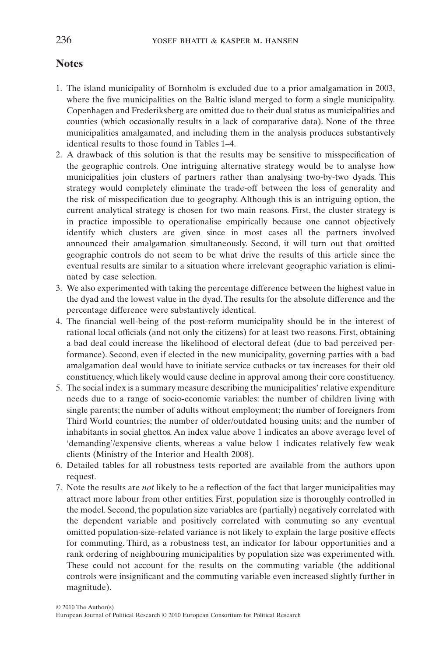### **Notes**

- 1. The island municipality of Bornholm is excluded due to a prior amalgamation in 2003, where the five municipalities on the Baltic island merged to form a single municipality. Copenhagen and Frederiksberg are omitted due to their dual status as municipalities and counties (which occasionally results in a lack of comparative data). None of the three municipalities amalgamated, and including them in the analysis produces substantively identical results to those found in Tables 1–4.
- 2. A drawback of this solution is that the results may be sensitive to misspecification of the geographic controls. One intriguing alternative strategy would be to analyse how municipalities join clusters of partners rather than analysing two-by-two dyads. This strategy would completely eliminate the trade-off between the loss of generality and the risk of misspecification due to geography. Although this is an intriguing option, the current analytical strategy is chosen for two main reasons. First, the cluster strategy is in practice impossible to operationalise empirically because one cannot objectively identify which clusters are given since in most cases all the partners involved announced their amalgamation simultaneously. Second, it will turn out that omitted geographic controls do not seem to be what drive the results of this article since the eventual results are similar to a situation where irrelevant geographic variation is eliminated by case selection.
- 3. We also experimented with taking the percentage difference between the highest value in the dyad and the lowest value in the dyad. The results for the absolute difference and the percentage difference were substantively identical.
- 4. The financial well-being of the post-reform municipality should be in the interest of rational local officials (and not only the citizens) for at least two reasons. First, obtaining a bad deal could increase the likelihood of electoral defeat (due to bad perceived performance). Second, even if elected in the new municipality, governing parties with a bad amalgamation deal would have to initiate service cutbacks or tax increases for their old constituency, which likely would cause decline in approval among their core constituency.
- 5. The social index is a summary measure describing the municipalities' relative expenditure needs due to a range of socio-economic variables: the number of children living with single parents; the number of adults without employment; the number of foreigners from Third World countries; the number of older/outdated housing units; and the number of inhabitants in social ghettos. An index value above 1 indicates an above average level of 'demanding'/expensive clients, whereas a value below 1 indicates relatively few weak clients (Ministry of the Interior and Health 2008).
- 6. Detailed tables for all robustness tests reported are available from the authors upon request.
- 7. Note the results are *not* likely to be a reflection of the fact that larger municipalities may attract more labour from other entities. First, population size is thoroughly controlled in the model. Second, the population size variables are (partially) negatively correlated with the dependent variable and positively correlated with commuting so any eventual omitted population-size-related variance is not likely to explain the large positive effects for commuting. Third, as a robustness test, an indicator for labour opportunities and a rank ordering of neighbouring municipalities by population size was experimented with. These could not account for the results on the commuting variable (the additional controls were insignificant and the commuting variable even increased slightly further in magnitude).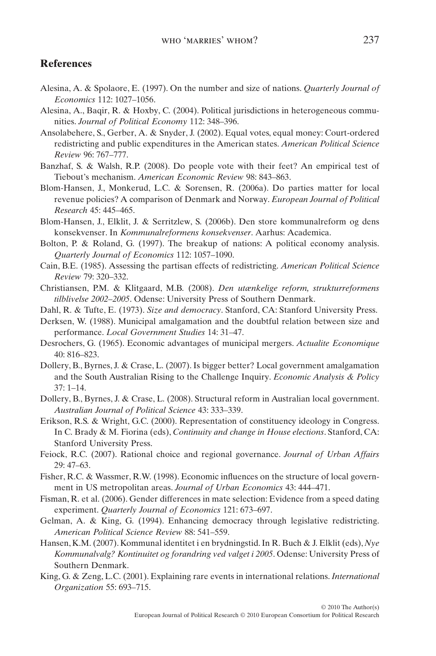# **References**

- Alesina, A. & Spolaore, E. (1997). On the number and size of nations. *Quarterly Journal of Economics* 112: 1027–1056.
- Alesina, A., Baqir, R. & Hoxby, C. (2004). Political jurisdictions in heterogeneous communities. *Journal of Political Economy* 112: 348–396.
- Ansolabehere, S., Gerber, A. & Snyder, J. (2002). Equal votes, equal money: Court-ordered redistricting and public expenditures in the American states. *American Political Science Review* 96: 767–777.
- Banzhaf, S. & Walsh, R.P. (2008). Do people vote with their feet? An empirical test of Tiebout's mechanism. *American Economic Review* 98: 843–863.
- Blom-Hansen, J., Monkerud, L.C. & Sorensen, R. (2006a). Do parties matter for local revenue policies? A comparison of Denmark and Norway. *European Journal of Political Research* 45: 445–465.
- Blom-Hansen, J., Elklit, J. & Serritzlew, S. (2006b). Den store kommunalreform og dens konsekvenser. In *Kommunalreformens konsekvenser*. Aarhus: Academica.
- Bolton, P. & Roland, G. (1997). The breakup of nations: A political economy analysis. *Quarterly Journal of Economics* 112: 1057–1090.
- Cain, B.E. (1985). Assessing the partisan effects of redistricting. *American Political Science Review* 79: 320–332.
- Christiansen, P.M. & Klitgaard, M.B. (2008). *Den utænkelige reform, strukturreformens tilblivelse 2002–2005*. Odense: University Press of Southern Denmark.
- Dahl, R. & Tufte, E. (1973). *Size and democracy*. Stanford, CA: Stanford University Press.
- Derksen, W. (1988). Municipal amalgamation and the doubtful relation between size and performance. *Local Government Studies* 14: 31–47.
- Desrochers, G. (1965). Economic advantages of municipal mergers. *Actualite Economique* 40: 816–823.
- Dollery, B., Byrnes, J. & Crase, L. (2007). Is bigger better? Local government amalgamation and the South Australian Rising to the Challenge Inquiry. *Economic Analysis & Policy* 37: 1–14.
- Dollery, B., Byrnes, J. & Crase, L. (2008). Structural reform in Australian local government. *Australian Journal of Political Science* 43: 333–339.
- Erikson, R.S. & Wright, G.C. (2000). Representation of constituency ideology in Congress. In C. Brady & M. Fiorina (eds), *Continuity and change in House elections*. Stanford, CA: Stanford University Press.
- Feiock, R.C. (2007). Rational choice and regional governance. *Journal of Urban Affairs* 29: 47–63.
- Fisher, R.C. & Wassmer, R.W. (1998). Economic influences on the structure of local government in US metropolitan areas. *Journal of Urban Economics* 43: 444–471.
- Fisman, R. et al. (2006). Gender differences in mate selection: Evidence from a speed dating experiment. *Quarterly Journal of Economics* 121: 673–697.
- Gelman, A. & King, G. (1994). Enhancing democracy through legislative redistricting. *American Political Science Review* 88: 541–559.
- Hansen, K.M. (2007). Kommunal identitet i en brydningstid. In R. Buch & J. Elklit (eds),*Nye Kommunalvalg? Kontinuitet og forandring ved valget i 2005*. Odense: University Press of Southern Denmark.
- King, G. & Zeng, L.C. (2001). Explaining rare events in international relations.*International Organization* 55: 693–715.